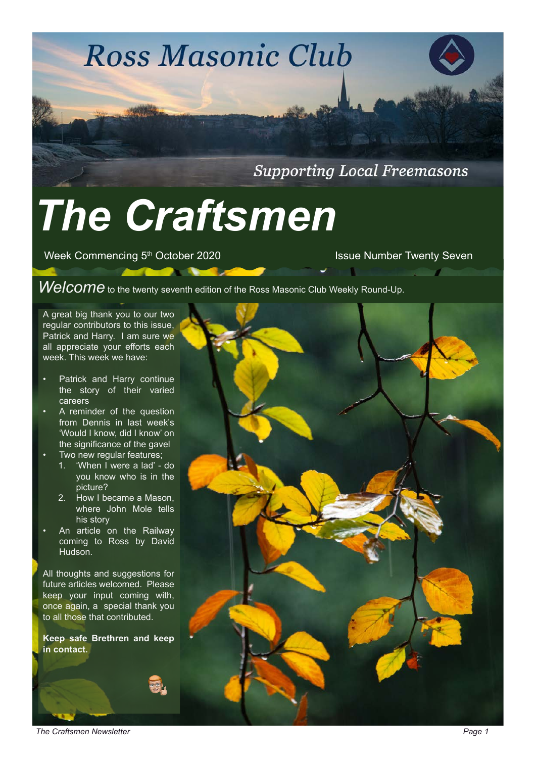# **Ross Masonic Club**

**Supporting Local Freemasons** 

# *The Craftsmen*

Week Commencing 5<sup>th</sup> October 2020 **ISSUE Number Twenty Seven** 

*Welcome* to the twenty seventh edition of the Ross Masonic Club Weekly Round-Up.

A great big thank you to our two regular contributors to this issue, Patrick and Harry. I am sure we all appreciate your efforts each week. This week we have:

- Patrick and Harry continue the story of their varied careers
- A reminder of the question from Dennis in last week's 'Would I know, did I know' on the significance of the gavel
- Two new regular features;
	- 1. 'When I were a lad' do you know who is in the picture?
	- 2. How I became a Mason, where John Mole tells his story
- An article on the Railway coming to Ross by David Hudson.

All thoughts and suggestions for future articles welcomed. Please keep your input coming with, once again, a special thank you to all those that contributed.

**Keep safe Brethren and keep in contact.** 



**The Craftsmen Newsletter** *Page 1*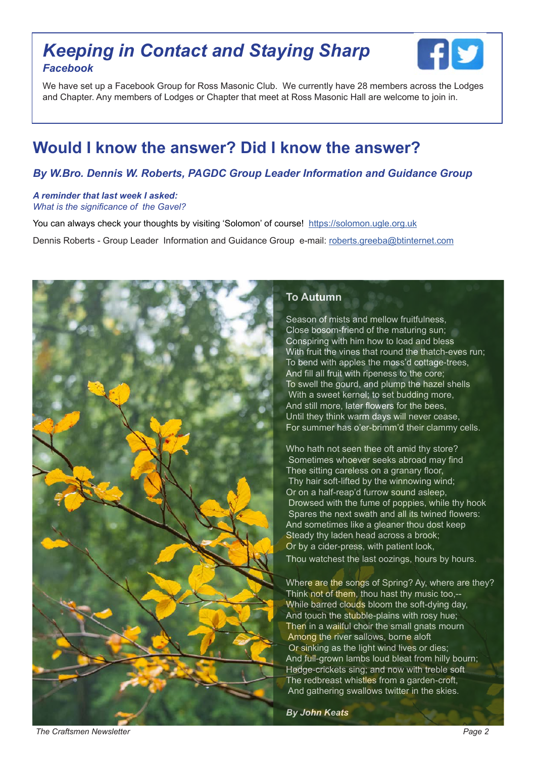# *Keeping in Contact and Staying Sharp Facebook*



We have set up a Facebook Group for Ross Masonic Club. We currently have 28 members across the Lodges and Chapter. Any members of Lodges or Chapter that meet at Ross Masonic Hall are welcome to join in.

# **Would I know the answer? Did I know the answer?**

#### *By W.Bro. Dennis W. Roberts, PAGDC Group Leader Information and Guidance Group*

#### *A reminder that last week I asked: What is the significance of the Gavel?*

You can always check your thoughts by visiting 'Solomon' of course! https://solomon.ugle.org.uk Dennis Roberts - Group Leader Information and Guidance Group e-mail: roberts.greeba@btinternet.com



#### **To Autumn**

Season of mists and mellow fruitfulness, Close bosom-friend of the maturing sun; Conspiring with him how to load and bless With fruit the vines that round the thatch-eves run; To bend with apples the moss'd cottage-trees, And fill all fruit with ripeness to the core; To swell the gourd, and plump the hazel shells With a sweet kernel; to set budding more, And still more, later flowers for the bees, Until they think warm days will never cease, For summer has o'er-brimm'd their clammy cells.

Who hath not seen thee oft amid thy store? Sometimes whoever seeks abroad may find Thee sitting careless on a granary floor, Thy hair soft-lifted by the winnowing wind; Or on a half-reap'd furrow sound asleep, Drowsed with the fume of poppies, while thy hook Spares the next swath and all its twined flowers: And sometimes like a gleaner thou dost keep Steady thy laden head across a brook; Or by a cider-press, with patient look, Thou watchest the last oozings, hours by hours.

Where are the songs of Spring? Ay, where are they? Think not of them, thou hast thy music too,-- While barred clouds bloom the soft-dying day, And touch the stubble-plains with rosy hue; Then in a wailful choir the small gnats mourn Among the river sallows, borne aloft Or sinking as the light wind lives or dies; And full-grown lambs loud bleat from hilly bourn; Hedge-crickets sing; and now with treble soft The redbreast whistles from a garden-croft, And gathering swallows twitter in the skies.

*By John Keats*

**The Craftsmen Newsletter Page 2 Page 2 Page 2 Page 2 Page 2 Page 2 Page 2**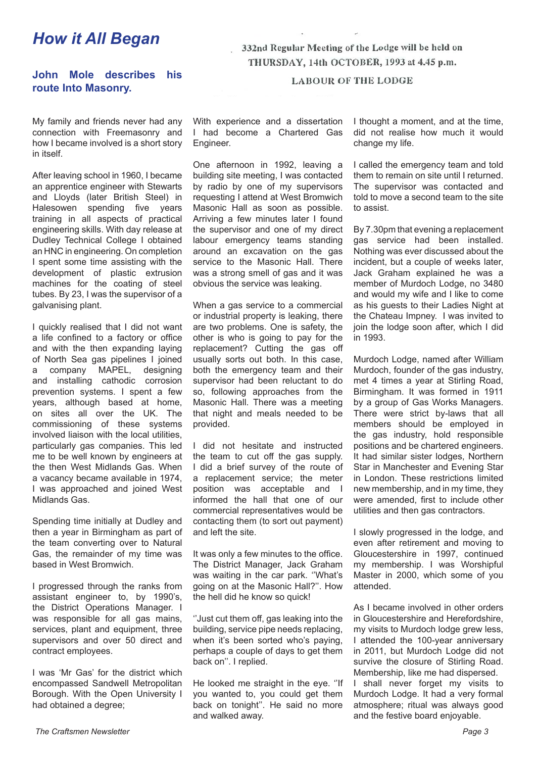# *How it All Began*

**John Mole describes his route Into Masonry.**

My family and friends never had any connection with Freemasonry and how I became involved is a short story in itself.

After leaving school in 1960, I became an apprentice engineer with Stewarts and Lloyds (later British Steel) in Halesowen spending five years training in all aspects of practical engineering skills. With day release at Dudley Technical College I obtained an HNC in engineering. On completion I spent some time assisting with the development of plastic extrusion machines for the coating of steel tubes. By 23, I was the supervisor of a galvanising plant.

I quickly realised that I did not want a life confined to a factory or office and with the then expanding laying of North Sea gas pipelines I joined a company MAPEL, designing and installing cathodic corrosion prevention systems. I spent a few years, although based at home, on sites all over the UK. The commissioning of these systems involved liaison with the local utilities, particularly gas companies. This led me to be well known by engineers at the then West Midlands Gas. When a vacancy became available in 1974, I was approached and joined West Midlands Gas.

Spending time initially at Dudley and then a year in Birmingham as part of the team converting over to Natural Gas, the remainder of my time was based in West Bromwich.

I progressed through the ranks from assistant engineer to, by 1990's, the District Operations Manager. I was responsible for all gas mains, services, plant and equipment, three supervisors and over 50 direct and contract employees.

I was 'Mr Gas' for the district which encompassed Sandwell Metropolitan Borough. With the Open University I had obtained a degree;

332nd Regular Meeting of the Lodge will be held on THURSDAY, 14th OCTOBER, 1993 at 4.45 p.m.

**LABOUR OF THE LODGE** 

With experience and a dissertation I had become a Chartered Gas Engineer.

One afternoon in 1992, leaving a building site meeting, I was contacted by radio by one of my supervisors requesting I attend at West Bromwich Masonic Hall as soon as possible. Arriving a few minutes later I found the supervisor and one of my direct labour emergency teams standing around an excavation on the gas service to the Masonic Hall. There was a strong smell of gas and it was obvious the service was leaking.

When a gas service to a commercial or industrial property is leaking, there are two problems. One is safety, the other is who is going to pay for the replacement? Cutting the gas off usually sorts out both. In this case, both the emergency team and their supervisor had been reluctant to do so, following approaches from the Masonic Hall. There was a meeting that night and meals needed to be provided.

I did not hesitate and instructed the team to cut off the gas supply. I did a brief survey of the route of a replacement service; the meter position was acceptable and I informed the hall that one of our commercial representatives would be contacting them (to sort out payment) and left the site.

It was only a few minutes to the office. The District Manager, Jack Graham was waiting in the car park. ''What's going on at the Masonic Hall?''. How the hell did he know so quick!

''Just cut them off, gas leaking into the building, service pipe needs replacing, when it's been sorted who's paying, perhaps a couple of days to get them back on''. I replied.

He looked me straight in the eye. ''If you wanted to, you could get them back on tonight''. He said no more and walked away.

I thought a moment, and at the time, did not realise how much it would change my life.

I called the emergency team and told them to remain on site until I returned. The supervisor was contacted and told to move a second team to the site to assist.

By 7.30pm that evening a replacement gas service had been installed. Nothing was ever discussed about the incident, but a couple of weeks later, Jack Graham explained he was a member of Murdoch Lodge, no 3480 and would my wife and I like to come as his guests to their Ladies Night at the Chateau Impney. I was invited to join the lodge soon after, which I did in 1993.

Murdoch Lodge, named after William Murdoch, founder of the gas industry, met 4 times a year at Stirling Road, Birmingham. It was formed in 1911 by a group of Gas Works Managers. There were strict by-laws that all members should be employed in the gas industry, hold responsible positions and be chartered engineers. It had similar sister lodges, Northern Star in Manchester and Evening Star in London. These restrictions limited new membership, and in my time, they were amended, first to include other utilities and then gas contractors.

I slowly progressed in the lodge, and even after retirement and moving to Gloucestershire in 1997, continued my membership. I was Worshipful Master in 2000, which some of you attended.

As I became involved in other orders in Gloucestershire and Herefordshire, my visits to Murdoch lodge grew less, I attended the 100-year anniversary in 2011, but Murdoch Lodge did not survive the closure of Stirling Road. Membership, like me had dispersed. I shall never forget my visits to Murdoch Lodge. It had a very formal atmosphere; ritual was always good and the festive board enjoyable.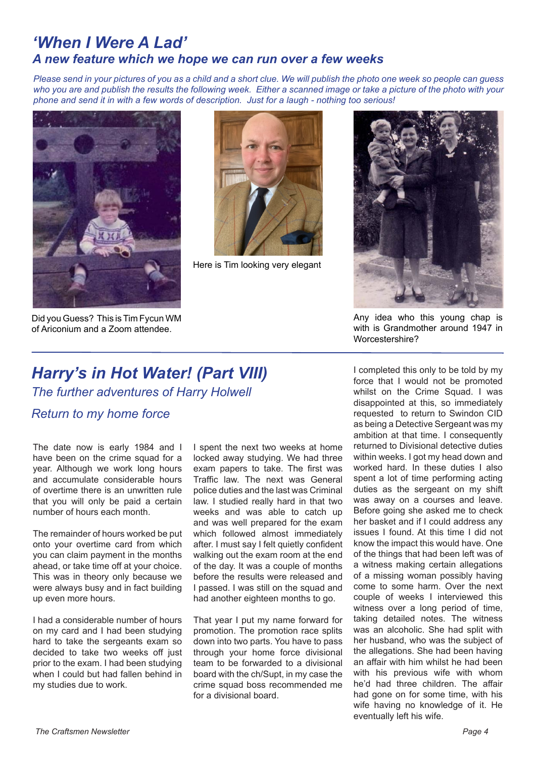## *'When I Were A Lad' A new feature which we hope we can run over a few weeks*

*Please send in your pictures of you as a child and a short clue. We will publish the photo one week so people can guess who you are and publish the results the following week. Either a scanned image or take a picture of the photo with your phone and send it in with a few words of description. Just for a laugh - nothing too serious!*



Did you Guess? This is Tim Fycun WM of Ariconium and a Zoom attendee.



Here is Tim looking very elegant



Any idea who this young chap is with is Grandmother around 1947 in Worcestershire?

# *Harry's in Hot Water! (Part VIII)*

*The further adventures of Harry Holwell*

#### *Return to my home force*

The date now is early 1984 and I have been on the crime squad for a year. Although we work long hours and accumulate considerable hours of overtime there is an unwritten rule that you will only be paid a certain number of hours each month.

The remainder of hours worked be put onto your overtime card from which you can claim payment in the months ahead, or take time off at your choice. This was in theory only because we were always busy and in fact building up even more hours.

I had a considerable number of hours on my card and I had been studying hard to take the sergeants exam so decided to take two weeks off just prior to the exam. I had been studying when I could but had fallen behind in my studies due to work.

I spent the next two weeks at home locked away studying. We had three exam papers to take. The first was Traffic law. The next was General police duties and the last was Criminal law. I studied really hard in that two weeks and was able to catch up and was well prepared for the exam which followed almost immediately after. I must say I felt quietly confident walking out the exam room at the end of the day. It was a couple of months before the results were released and I passed. I was still on the squad and had another eighteen months to go.

That year I put my name forward for promotion. The promotion race splits down into two parts. You have to pass through your home force divisional team to be forwarded to a divisional board with the ch/Supt, in my case the crime squad boss recommended me for a divisional board.

I completed this only to be told by my force that I would not be promoted whilst on the Crime Squad. I was disappointed at this, so immediately requested to return to Swindon CID as being a Detective Sergeant was my ambition at that time. I consequently returned to Divisional detective duties within weeks. I got my head down and worked hard. In these duties I also spent a lot of time performing acting duties as the sergeant on my shift was away on a courses and leave. Before going she asked me to check her basket and if I could address any issues I found. At this time I did not know the impact this would have. One of the things that had been left was of a witness making certain allegations of a missing woman possibly having come to some harm. Over the next couple of weeks I interviewed this witness over a long period of time. taking detailed notes. The witness was an alcoholic. She had split with her husband, who was the subject of the allegations. She had been having an affair with him whilst he had been with his previous wife with whom he'd had three children. The affair had gone on for some time, with his wife having no knowledge of it. He eventually left his wife.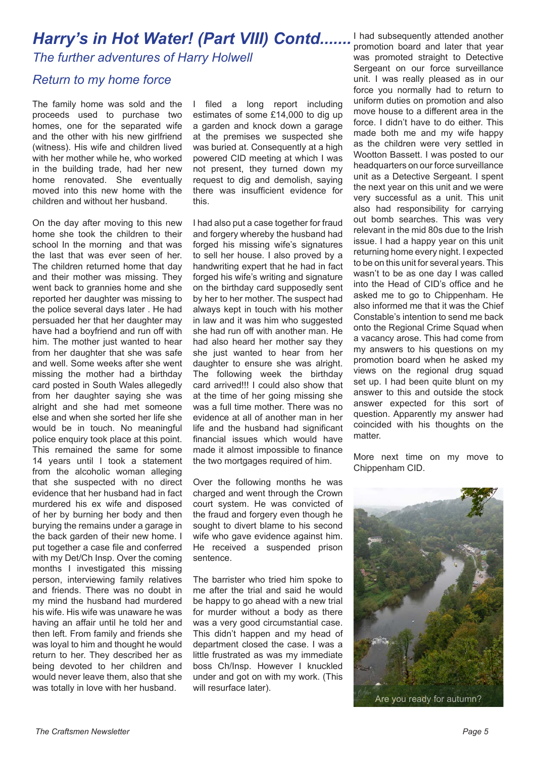### *Harry's in Hot Water! (Part VIII) Contd.......*

*The further adventures of Harry Holwell*

#### *Return to my home force*

The family home was sold and the proceeds used to purchase two homes, one for the separated wife and the other with his new girlfriend (witness). His wife and children lived with her mother while he, who worked in the building trade, had her new home renovated. She eventually moved into this new home with the children and without her husband.

On the day after moving to this new home she took the children to their school In the morning and that was the last that was ever seen of her. The children returned home that day and their mother was missing. They went back to grannies home and she reported her daughter was missing to the police several days later . He had persuaded her that her daughter may have had a boyfriend and run off with him. The mother just wanted to hear from her daughter that she was safe and well. Some weeks after she went missing the mother had a birthday card posted in South Wales allegedly from her daughter saying she was alright and she had met someone else and when she sorted her life she would be in touch. No meaningful police enquiry took place at this point. This remained the same for some 14 years until I took a statement from the alcoholic woman alleging that she suspected with no direct evidence that her husband had in fact murdered his ex wife and disposed of her by burning her body and then burying the remains under a garage in the back garden of their new home. I put together a case file and conferred with my Det/Ch Insp. Over the coming months I investigated this missing person, interviewing family relatives and friends. There was no doubt in my mind the husband had murdered his wife. His wife was unaware he was having an affair until he told her and then left. From family and friends she was loyal to him and thought he would return to her. They described her as being devoted to her children and would never leave them, also that she was totally in love with her husband.

I filed a long report including estimates of some £14,000 to dig up a garden and knock down a garage at the premises we suspected she was buried at. Consequently at a high powered CID meeting at which I was not present, they turned down my request to dig and demolish, saying there was insufficient evidence for this.

I had also put a case together for fraud and forgery whereby the husband had forged his missing wife's signatures to sell her house. I also proved by a handwriting expert that he had in fact forged his wife's writing and signature on the birthday card supposedly sent by her to her mother. The suspect had always kept in touch with his mother in law and it was him who suggested she had run off with another man. He had also heard her mother say they she just wanted to hear from her daughter to ensure she was alright. The following week the birthday card arrived!!! I could also show that at the time of her going missing she was a full time mother. There was no evidence at all of another man in her life and the husband had significant financial issues which would have made it almost impossible to finance the two mortgages required of him.

Over the following months he was charged and went through the Crown court system. He was convicted of the fraud and forgery even though he sought to divert blame to his second wife who gave evidence against him. He received a suspended prison sentence.

The barrister who tried him spoke to me after the trial and said he would be happy to go ahead with a new trial for murder without a body as there was a very good circumstantial case. This didn't happen and my head of department closed the case. I was a little frustrated as was my immediate boss Ch/Insp. However I knuckled under and got on with my work. (This will resurface later).

I had subsequently attended another promotion board and later that year was promoted straight to Detective Sergeant on our force surveillance unit. I was really pleased as in our force you normally had to return to uniform duties on promotion and also move house to a different area in the force. I didn't have to do either. This made both me and my wife happy as the children were very settled in Wootton Bassett. I was posted to our headquarters on our force surveillance unit as a Detective Sergeant. I spent the next year on this unit and we were very successful as a unit. This unit also had responsibility for carrying out bomb searches. This was very relevant in the mid 80s due to the Irish issue. I had a happy year on this unit returning home every night. I expected to be on this unit for several years. This wasn't to be as one day I was called into the Head of CID's office and he asked me to go to Chippenham. He also informed me that it was the Chief Constable's intention to send me back onto the Regional Crime Squad when a vacancy arose. This had come from my answers to his questions on my promotion board when he asked my views on the regional drug squad set up. I had been quite blunt on my answer to this and outside the stock answer expected for this sort of question. Apparently my answer had coincided with his thoughts on the matter.

More next time on my move to Chippenham CID.

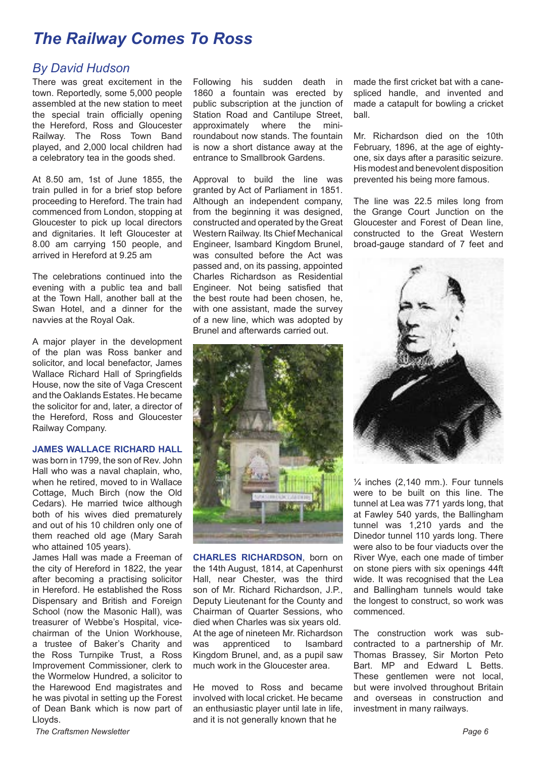# *The Railway Comes To Ross*

#### *By David Hudson*

There was great excitement in the town. Reportedly, some 5,000 people assembled at the new station to meet the special train officially opening the Hereford, Ross and Gloucester Railway. The Ross Town Band played, and 2,000 local children had a celebratory tea in the goods shed.

At 8.50 am, 1st of June 1855, the train pulled in for a brief stop before proceeding to Hereford. The train had commenced from London, stopping at Gloucester to pick up local directors and dignitaries. It left Gloucester at 8.00 am carrying 150 people, and arrived in Hereford at 9.25 am

The celebrations continued into the evening with a public tea and ball at the Town Hall, another ball at the Swan Hotel, and a dinner for the navvies at the Royal Oak.

A major player in the development of the plan was Ross banker and solicitor, and local benefactor, James Wallace Richard Hall of Springfields House, now the site of Vaga Crescent and the Oaklands Estates. He became the solicitor for and, later, a director of the Hereford, Ross and Gloucester Railway Company.

#### **JAMES WALLACE RICHARD HALL**

was born in 1799, the son of Rev. John Hall who was a naval chaplain, who, when he retired, moved to in Wallace Cottage, Much Birch (now the Old Cedars). He married twice although both of his wives died prematurely and out of his 10 children only one of them reached old age (Mary Sarah who attained 105 years).

James Hall was made a Freeman of the city of Hereford in 1822, the year after becoming a practising solicitor in Hereford. He established the Ross Dispensary and British and Foreign School (now the Masonic Hall), was treasurer of Webbe's Hospital, vicechairman of the Union Workhouse, a trustee of Baker's Charity and the Ross Turnpike Trust, a Ross Improvement Commissioner, clerk to the Wormelow Hundred, a solicitor to the Harewood End magistrates and he was pivotal in setting up the Forest of Dean Bank which is now part of Lloyds.

Following his sudden death in 1860 a fountain was erected by public subscription at the junction of Station Road and Cantilupe Street,<br>approximately where the miniapproximately where the miniroundabout now stands. The fountain is now a short distance away at the entrance to Smallbrook Gardens.

Approval to build the line was granted by Act of Parliament in 1851. Although an independent company, from the beginning it was designed, constructed and operated by the Great Western Railway. Its Chief Mechanical Engineer, Isambard Kingdom Brunel, was consulted before the Act was passed and, on its passing, appointed Charles Richardson as Residential Engineer. Not being satisfied that the best route had been chosen, he, with one assistant, made the survey of a new line, which was adopted by Brunel and afterwards carried out.



**CHARLES RICHARDSON**, born on the 14th August, 1814, at Capenhurst Hall, near Chester, was the third son of Mr. Richard Richardson, J.P., Deputy Lieutenant for the County and Chairman of Quarter Sessions, who died when Charles was six years old. At the age of nineteen Mr. Richardson was apprenticed to Isambard Kingdom Brunel, and, as a pupil saw much work in the Gloucester area.

He moved to Ross and became involved with local cricket. He became an enthusiastic player until late in life, and it is not generally known that he

made the first cricket bat with a canespliced handle, and invented and made a catapult for bowling a cricket ball.

Mr. Richardson died on the 10th February, 1896, at the age of eightyone, six days after a parasitic seizure. His modest and benevolent disposition prevented his being more famous.

The line was 22.5 miles long from the Grange Court Junction on the Gloucester and Forest of Dean line, constructed to the Great Western broad-gauge standard of 7 feet and



 $\frac{1}{4}$  inches (2,140 mm.). Four tunnels were to be built on this line. The tunnel at Lea was 771 yards long, that at Fawley 540 yards, the Ballingham tunnel was 1,210 yards and the Dinedor tunnel 110 yards long. There were also to be four viaducts over the River Wye, each one made of timber on stone piers with six openings 44ft wide. It was recognised that the Lea and Ballingham tunnels would take the longest to construct, so work was commenced.

The construction work was subcontracted to a partnership of Mr. Thomas Brassey, Sir Morton Peto Bart. MP and Edward L Betts. These gentlemen were not local, but were involved throughout Britain and overseas in construction and investment in many railways.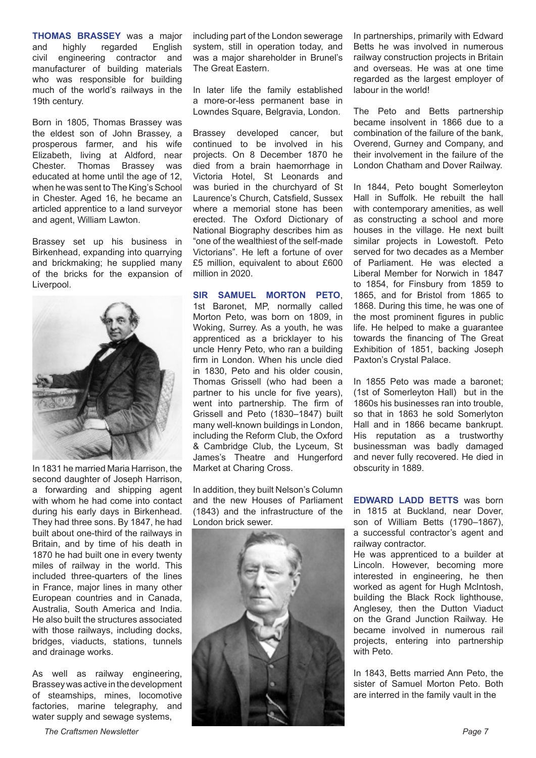**THOMAS BRASSEY** was a major<br>and **highly** regarded English regarded civil engineering contractor and manufacturer of building materials who was responsible for building much of the world's railways in the 19th century.

Born in 1805, Thomas Brassey was the eldest son of John Brassey, a prosperous farmer, and his wife Elizabeth, living at Aldford, near Chester. Thomas Brassey was educated at home until the age of 12, when he was sent to The King's School in Chester. Aged 16, he became an articled apprentice to a land surveyor and agent, William Lawton.

Brassey set up his business in Birkenhead, expanding into quarrying and brickmaking; he supplied many of the bricks for the expansion of Liverpool.



In 1831 he married Maria Harrison, the second daughter of Joseph Harrison, a forwarding and shipping agent with whom he had come into contact during his early days in Birkenhead. They had three sons. By 1847, he had built about one-third of the railways in Britain, and by time of his death in 1870 he had built one in every twenty miles of railway in the world. This included three-quarters of the lines in France, major lines in many other European countries and in Canada, Australia, South America and India. He also built the structures associated with those railways, including docks, bridges, viaducts, stations, tunnels and drainage works.

As well as railway engineering, Brassey was active in the development of steamships, mines, locomotive factories, marine telegraphy, and water supply and sewage systems,

including part of the London sewerage system, still in operation today, and was a major shareholder in Brunel's The Great Eastern.

In later life the family established a more-or-less permanent base in Lowndes Square, Belgravia, London.

Brassey developed cancer, but continued to be involved in his projects. On 8 December 1870 he died from a brain haemorrhage in Victoria Hotel, St Leonards and was buried in the churchyard of St Laurence's Church, Catsfield, Sussex where a memorial stone has been erected. The Oxford Dictionary of National Biography describes him as "one of the wealthiest of the self-made Victorians". He left a fortune of over £5 million, equivalent to about £600 million in 2020.

**SIR SAMUEL MORTON PETO**, 1st Baronet, MP, normally called Morton Peto, was born on 1809, in Woking, Surrey. As a youth, he was apprenticed as a bricklayer to his uncle Henry Peto, who ran a building firm in London. When his uncle died in 1830, Peto and his older cousin, Thomas Grissell (who had been a partner to his uncle for five years), went into partnership. The firm of Grissell and Peto (1830–1847) built many well-known buildings in London, including the Reform Club, the Oxford & Cambridge Club, the Lyceum, St James's Theatre and Hungerford Market at Charing Cross.

In addition, they built Nelson's Column and the new Houses of Parliament (1843) and the infrastructure of the London brick sewer.



In partnerships, primarily with Edward Betts he was involved in numerous railway construction projects in Britain and overseas. He was at one time regarded as the largest employer of labour in the world!

The Peto and Betts partnership became insolvent in 1866 due to a combination of the failure of the bank, Overend, Gurney and Company, and their involvement in the failure of the London Chatham and Dover Railway.

In 1844, Peto bought Somerleyton Hall in Suffolk. He rebuilt the hall with contemporary amenities, as well as constructing a school and more houses in the village. He next built similar projects in Lowestoft. Peto served for two decades as a Member of Parliament. He was elected a Liberal Member for Norwich in 1847 to 1854, for Finsbury from 1859 to 1865, and for Bristol from 1865 to 1868. During this time, he was one of the most prominent figures in public life. He helped to make a guarantee towards the financing of The Great Exhibition of 1851, backing Joseph Paxton's Crystal Palace.

In 1855 Peto was made a baronet; (1st of Somerleyton Hall) but in the 1860s his businesses ran into trouble, so that in 1863 he sold Somerlyton Hall and in 1866 became bankrupt. His reputation as a trustworthy businessman was badly damaged and never fully recovered. He died in obscurity in 1889.

**EDWARD LADD BETTS** was born in 1815 at Buckland, near Dover, son of William Betts (1790–1867), a successful contractor's agent and railway contractor.

He was apprenticed to a builder at Lincoln. However, becoming more interested in engineering, he then worked as agent for Hugh McIntosh, building the Black Rock lighthouse, Anglesey, then the Dutton Viaduct on the Grand Junction Railway. He became involved in numerous rail projects, entering into partnership with Peto.

In 1843, Betts married Ann Peto, the sister of Samuel Morton Peto. Both are interred in the family vault in the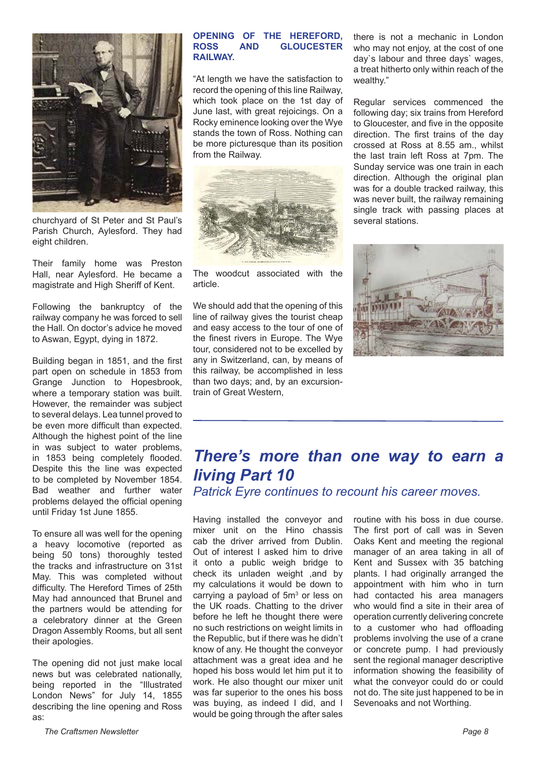

churchyard of St Peter and St Paul's Parish Church, Aylesford. They had eight children.

Their family home was Preston Hall, near Aylesford. He became a magistrate and High Sheriff of Kent.

Following the bankruptcy of the railway company he was forced to sell the Hall. On doctor's advice he moved to Aswan, Egypt, dying in 1872.

Building began in 1851, and the first part open on schedule in 1853 from Grange Junction to Hopesbrook, where a temporary station was built. However, the remainder was subject to several delays. Lea tunnel proved to be even more difficult than expected. Although the highest point of the line in was subject to water problems, in 1853 being completely flooded. Despite this the line was expected to be completed by November 1854. Bad weather and further water problems delayed the official opening until Friday 1st June 1855.

To ensure all was well for the opening a heavy locomotive (reported as being 50 tons) thoroughly tested the tracks and infrastructure on 31st May. This was completed without difficulty. The Hereford Times of 25th May had announced that Brunel and the partners would be attending for a celebratory dinner at the Green Dragon Assembly Rooms, but all sent their apologies.

The opening did not just make local news but was celebrated nationally, being reported in the "Illustrated London News" for July 14, 1855 describing the line opening and Ross as:

#### **OPENING OF THE HEREFORD, GLOUCESTER RAILWAY.**

"At length we have the satisfaction to record the opening of this line Railway, which took place on the 1st day of June last, with great rejoicings. On a Rocky eminence looking over the Wye stands the town of Ross. Nothing can be more picturesque than its position from the Railway.



The woodcut associated with the article.

We should add that the opening of this line of railway gives the tourist cheap and easy access to the tour of one of the finest rivers in Europe. The Wye tour, considered not to be excelled by any in Switzerland, can, by means of this railway, be accomplished in less than two days; and, by an excursiontrain of Great Western,

there is not a mechanic in London who may not enjoy, at the cost of one day`s labour and three days` wages, a treat hitherto only within reach of the wealthy."

Regular services commenced the following day; six trains from Hereford to Gloucester, and five in the opposite direction. The first trains of the day crossed at Ross at 8.55 am., whilst the last train left Ross at 7pm. The Sunday service was one train in each direction. Although the original plan was for a double tracked railway, this was never built, the railway remaining single track with passing places at several stations.



# *There's more than one way to earn a living Part 10*

*Patrick Eyre continues to recount his career moves.* 

Having installed the conveyor and mixer unit on the Hino chassis cab the driver arrived from Dublin. Out of interest I asked him to drive it onto a public weigh bridge to check its unladen weight ,and by my calculations it would be down to carrying a payload of 5m<sup>3</sup> or less on the UK roads. Chatting to the driver before he left he thought there were no such restrictions on weight limits in the Republic, but if there was he didn't know of any. He thought the conveyor attachment was a great idea and he hoped his boss would let him put it to work. He also thought our mixer unit was far superior to the ones his boss was buying, as indeed I did, and I would be going through the after sales

routine with his boss in due course. The first port of call was in Seven Oaks Kent and meeting the regional manager of an area taking in all of Kent and Sussex with 35 batching plants. I had originally arranged the appointment with him who in turn had contacted his area managers who would find a site in their area of operation currently delivering concrete to a customer who had offloading problems involving the use of a crane or concrete pump. I had previously sent the regional manager descriptive information showing the feasibility of what the conveyor could do or could not do. The site just happened to be in Sevenoaks and not Worthing.